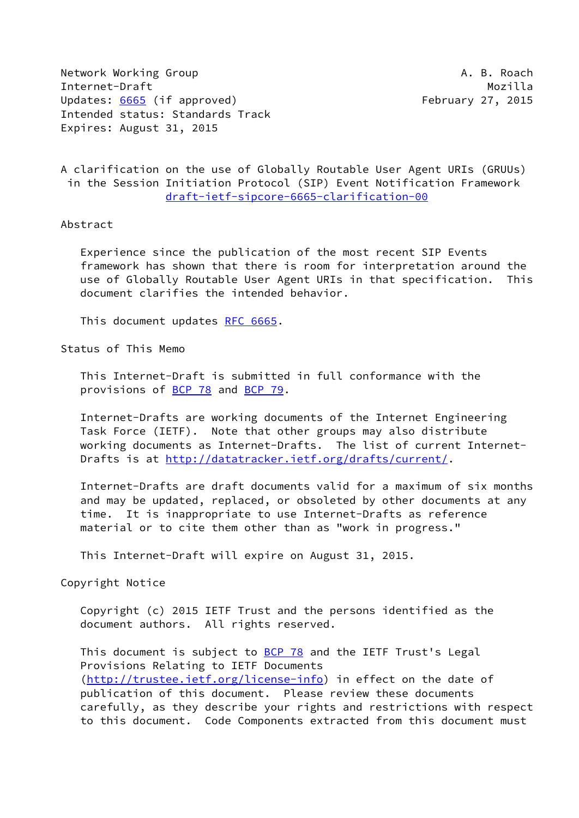Network Working Group **A. B. Roach** Internet-Draft Mozilla Updates: [6665](https://datatracker.ietf.org/doc/pdf/rfc6665) (if approved) February 27, 2015 Intended status: Standards Track Expires: August 31, 2015

A clarification on the use of Globally Routable User Agent URIs (GRUUs) in the Session Initiation Protocol (SIP) Event Notification Framework [draft-ietf-sipcore-6665-clarification-00](https://datatracker.ietf.org/doc/pdf/draft-ietf-sipcore-6665-clarification-00)

## Abstract

 Experience since the publication of the most recent SIP Events framework has shown that there is room for interpretation around the use of Globally Routable User Agent URIs in that specification. This document clarifies the intended behavior.

This document updates [RFC 6665](https://datatracker.ietf.org/doc/pdf/rfc6665).

Status of This Memo

 This Internet-Draft is submitted in full conformance with the provisions of **BCP 78** and **BCP 79**.

 Internet-Drafts are working documents of the Internet Engineering Task Force (IETF). Note that other groups may also distribute working documents as Internet-Drafts. The list of current Internet Drafts is at<http://datatracker.ietf.org/drafts/current/>.

 Internet-Drafts are draft documents valid for a maximum of six months and may be updated, replaced, or obsoleted by other documents at any time. It is inappropriate to use Internet-Drafts as reference material or to cite them other than as "work in progress."

This Internet-Draft will expire on August 31, 2015.

Copyright Notice

 Copyright (c) 2015 IETF Trust and the persons identified as the document authors. All rights reserved.

This document is subject to **[BCP 78](https://datatracker.ietf.org/doc/pdf/bcp78)** and the IETF Trust's Legal Provisions Relating to IETF Documents [\(http://trustee.ietf.org/license-info](http://trustee.ietf.org/license-info)) in effect on the date of publication of this document. Please review these documents carefully, as they describe your rights and restrictions with respect to this document. Code Components extracted from this document must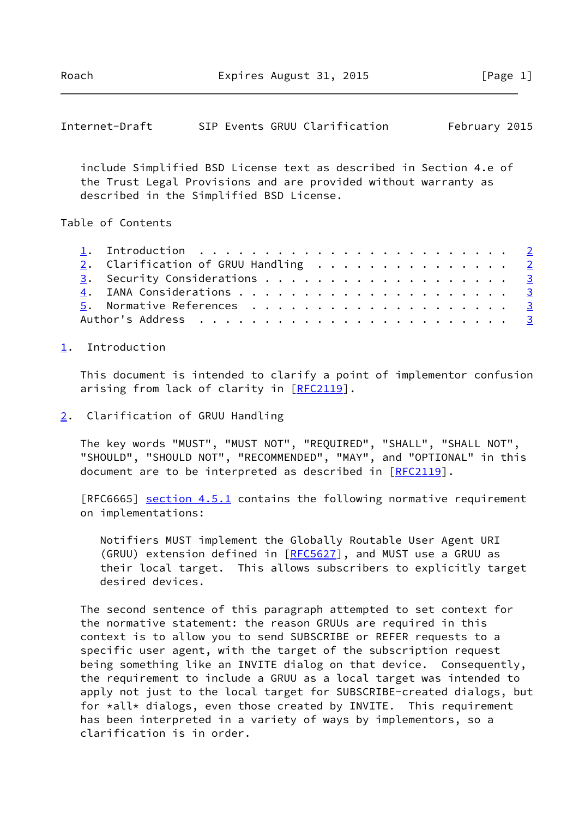<span id="page-1-1"></span>

| Internet-Draft |  |  |  | SIP Events GRUU Clarification | February 2015 |  |
|----------------|--|--|--|-------------------------------|---------------|--|
|----------------|--|--|--|-------------------------------|---------------|--|

 include Simplified BSD License text as described in Section 4.e of the Trust Legal Provisions and are provided without warranty as described in the Simplified BSD License.

## Table of Contents

|  | 1. Introduction $\ldots \ldots \ldots \ldots \ldots \ldots \ldots \ldots \ldots$ |  |
|--|----------------------------------------------------------------------------------|--|
|  | 2. Clarification of GRUU Handling 2                                              |  |
|  |                                                                                  |  |
|  |                                                                                  |  |
|  |                                                                                  |  |
|  |                                                                                  |  |

## <span id="page-1-0"></span>[1](#page-1-0). Introduction

 This document is intended to clarify a point of implementor confusion arising from lack of clarity in [\[RFC2119](https://datatracker.ietf.org/doc/pdf/rfc2119)].

<span id="page-1-2"></span>[2](#page-1-2). Clarification of GRUU Handling

 The key words "MUST", "MUST NOT", "REQUIRED", "SHALL", "SHALL NOT", "SHOULD", "SHOULD NOT", "RECOMMENDED", "MAY", and "OPTIONAL" in this document are to be interpreted as described in [\[RFC2119](https://datatracker.ietf.org/doc/pdf/rfc2119)].

[RFC6665] section 4.5.1 contains the following normative requirement on implementations:

 Notifiers MUST implement the Globally Routable User Agent URI (GRUU) extension defined in [\[RFC5627](https://datatracker.ietf.org/doc/pdf/rfc5627)], and MUST use a GRUU as their local target. This allows subscribers to explicitly target desired devices.

 The second sentence of this paragraph attempted to set context for the normative statement: the reason GRUUs are required in this context is to allow you to send SUBSCRIBE or REFER requests to a specific user agent, with the target of the subscription request being something like an INVITE dialog on that device. Consequently, the requirement to include a GRUU as a local target was intended to apply not just to the local target for SUBSCRIBE-created dialogs, but for \*all\* dialogs, even those created by INVITE. This requirement has been interpreted in a variety of ways by implementors, so a clarification is in order.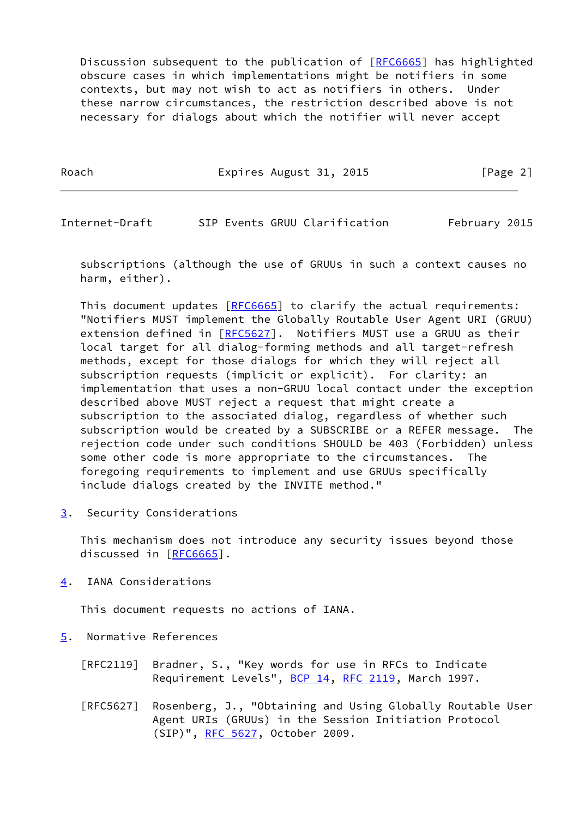Discussion subsequent to the publication of [\[RFC6665](https://datatracker.ietf.org/doc/pdf/rfc6665)] has highlighted obscure cases in which implementations might be notifiers in some contexts, but may not wish to act as notifiers in others. Under these narrow circumstances, the restriction described above is not necessary for dialogs about which the notifier will never accept

Roach **Expires August 31, 2015** [Page 2]

<span id="page-2-1"></span>Internet-Draft SIP Events GRUU Clarification February 2015

 subscriptions (although the use of GRUUs in such a context causes no harm, either).

This document updates [[RFC6665](https://datatracker.ietf.org/doc/pdf/rfc6665)] to clarify the actual requirements: "Notifiers MUST implement the Globally Routable User Agent URI (GRUU) extension defined in [\[RFC5627](https://datatracker.ietf.org/doc/pdf/rfc5627)]. Notifiers MUST use a GRUU as their local target for all dialog-forming methods and all target-refresh methods, except for those dialogs for which they will reject all subscription requests (implicit or explicit). For clarity: an implementation that uses a non-GRUU local contact under the exception described above MUST reject a request that might create a subscription to the associated dialog, regardless of whether such subscription would be created by a SUBSCRIBE or a REFER message. The rejection code under such conditions SHOULD be 403 (Forbidden) unless some other code is more appropriate to the circumstances. The foregoing requirements to implement and use GRUUs specifically include dialogs created by the INVITE method."

<span id="page-2-0"></span>[3](#page-2-0). Security Considerations

 This mechanism does not introduce any security issues beyond those discussed in [\[RFC6665](https://datatracker.ietf.org/doc/pdf/rfc6665)].

<span id="page-2-2"></span>[4](#page-2-2). IANA Considerations

This document requests no actions of IANA.

- <span id="page-2-3"></span>[5](#page-2-3). Normative References
	- [RFC2119] Bradner, S., "Key words for use in RFCs to Indicate Requirement Levels", [BCP 14](https://datatracker.ietf.org/doc/pdf/bcp14), [RFC 2119](https://datatracker.ietf.org/doc/pdf/rfc2119), March 1997.
	- [RFC5627] Rosenberg, J., "Obtaining and Using Globally Routable User Agent URIs (GRUUs) in the Session Initiation Protocol (SIP)", [RFC 5627,](https://datatracker.ietf.org/doc/pdf/rfc5627) October 2009.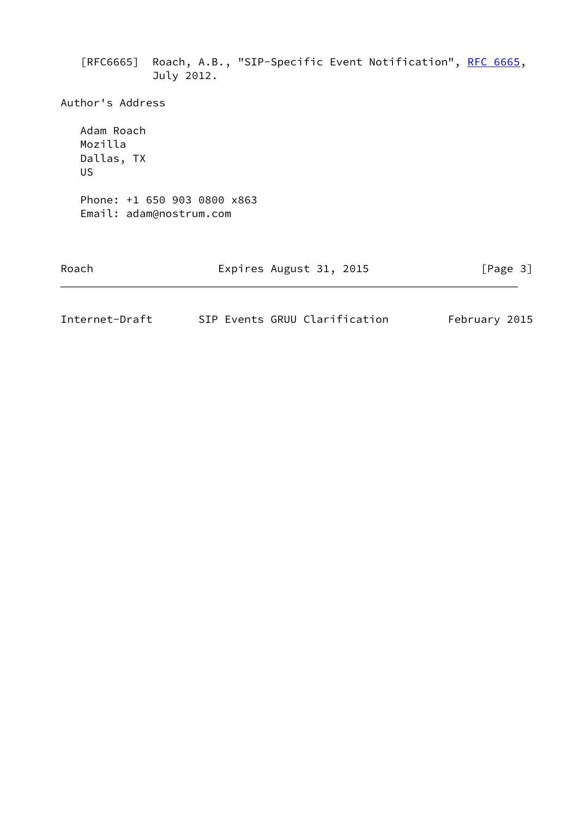[RFC6665] Roach, A.B., "SIP-Specific Event Notification", [RFC 6665,](https://datatracker.ietf.org/doc/pdf/rfc6665) July 2012.

Author's Address

 Adam Roach Mozilla Dallas, TX US Phone: +1 650 903 0800 x863 Email: adam@nostrum.com

| Roach | Expires August 31, 2015 | [Page 3] |
|-------|-------------------------|----------|
|       |                         |          |

| Internet-Draft |  | SIP Events GRUU Clarification | February 2015 |  |
|----------------|--|-------------------------------|---------------|--|
|                |  |                               |               |  |